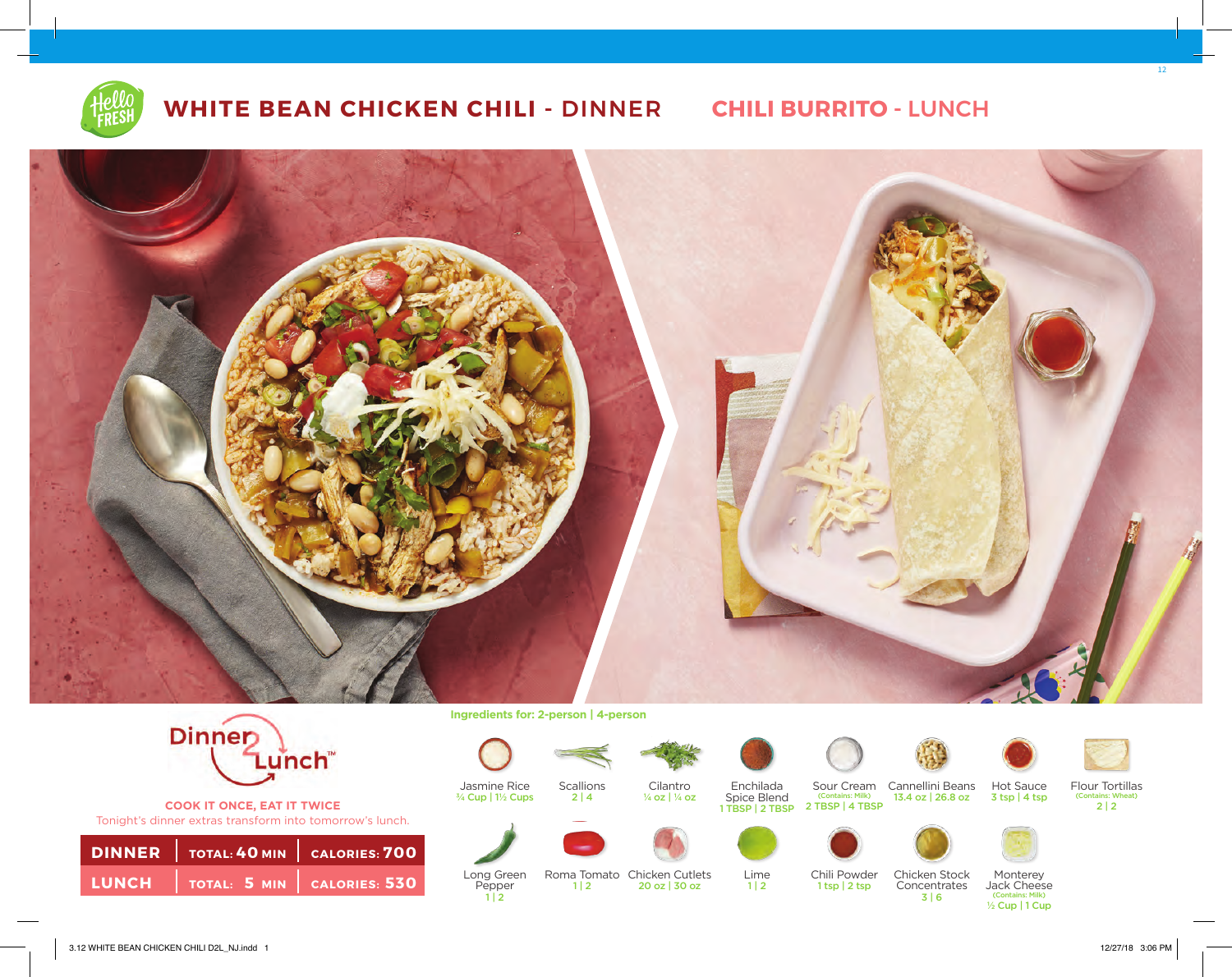

## **WHITE BEAN CHICKEN CHILI -** DINNER **CHILI BURRITO -** LUNCH





**COOK IT ONCE, EAT IT TWICE** Tonight's dinner extras transform into tomorrow's lunch.

|  | <b>DINNER</b>   TOTAL: 40 MIN   CALORIES: 700 |
|--|-----------------------------------------------|
|  | LUNCH TOTAL: 5 MIN CALORIES: 530              |

**Ingredients for: 2-person | 4-person**

Jasmine Rice ¾ Cup | 1½ Cups

Long Green Pepper  $1 | 2$ 



 $2 | 4$ 

 $1 | 2$ 





¼ oz | ¼ oz

Enchilada





Sour Cream Cannellini Beans 13.4 oz | 26.8 oz Spice Blend (Contains: Milk)<br>1 TBSP | 2 TBSP | 2 TBSP | 4 TBSP





12

Flour Tortillas (Contains: Wheat)  $\frac{2}{2}$  | 2





Lime  $1 | 2$ 

Chili Powder 1 tsp | 2 tsp



Monterey Jack Cheese (Contains: Milk)

3 tsp | 4 tsp

½ Cup | 1 Cup

3.12 WHITE BEAN CHICKEN CHILI D2L\_NJ.indd 1 12/27/18 3:06 PM